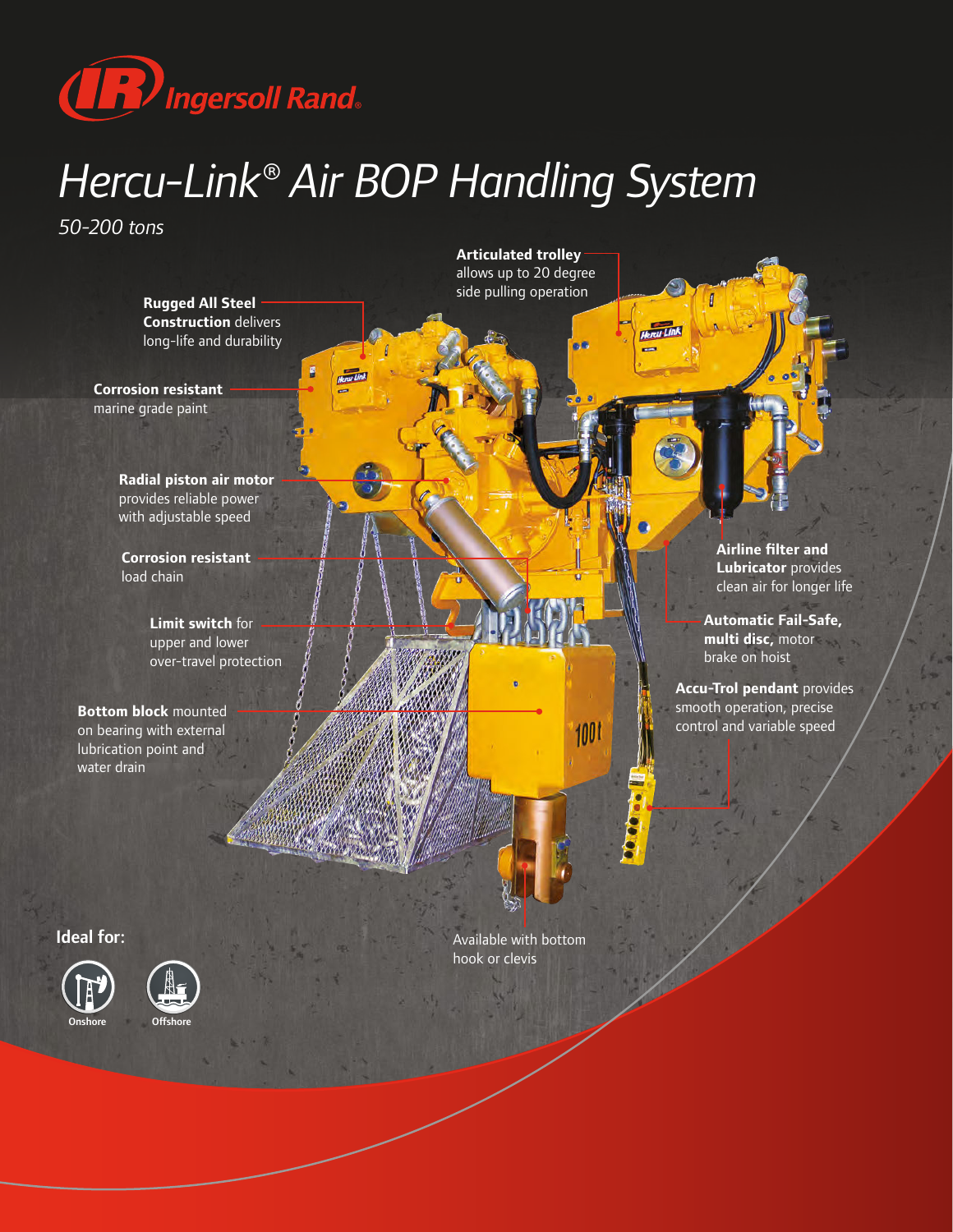

## *Hercu-Link® Air BOP Handling System*

*50-200 tons*



**Articulated trolley** allows up to 20 degree

Ideal for:





Onshore Offshore

hook or clevis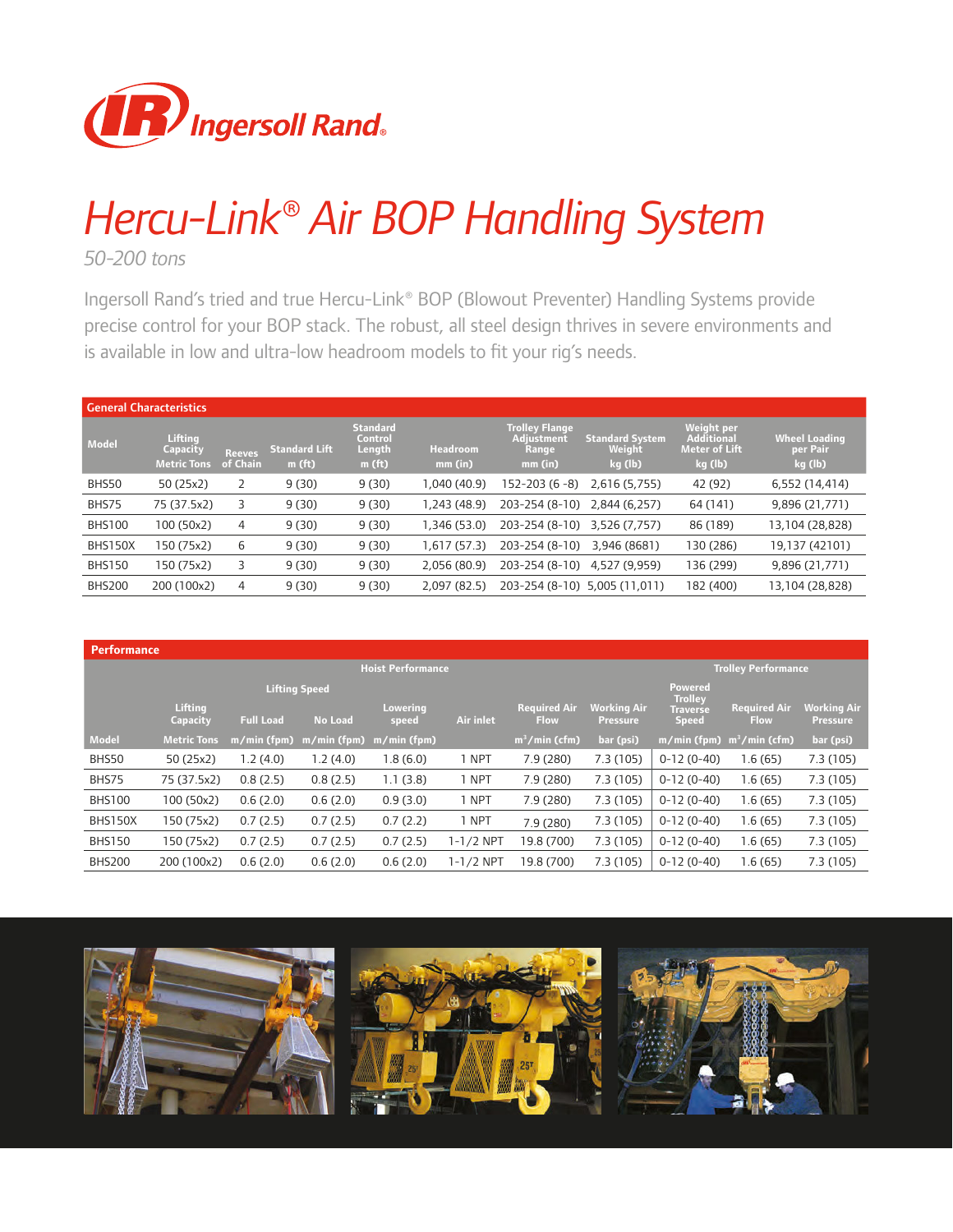

## *Hercu-Link® Air BOP Handling System*

*50-200 tons*

Ingersoll Rand's tried and true Hercu-Link® BOP (Blowout Preventer) Handling Systems provide precise control for your BOP stack. The robust, all steel design thrives in severe environments and is available in low and ultra-low headroom models to fit your rig's needs.

| <b>General Characteristics</b> |                                           |                           |                                            |                                                  |                            |                                                         |                                             |                                                                    |                                              |
|--------------------------------|-------------------------------------------|---------------------------|--------------------------------------------|--------------------------------------------------|----------------------------|---------------------------------------------------------|---------------------------------------------|--------------------------------------------------------------------|----------------------------------------------|
| <b>Model</b>                   | Lifting<br>Capacity<br><b>Metric Tons</b> | <b>Reeves</b><br>of Chain | <b>Standard Lift</b><br>m(f <sub>t</sub> ) | <b>Standard</b><br>Control<br>Length<br>$m$ (ft) | <b>Headroom</b><br>mm (in) | <b>Trolley Flange</b><br>Adjustment<br>Range<br>mm (in) | <b>Standard System</b><br>Weight<br>kg (lb) | <b>Weight per</b><br>Additional<br><b>Meter of Lift</b><br>kg (lb) | <b>Wheel Loading</b><br>per Pair'<br>kg (lb) |
| BHS50                          | 50 (25x2)                                 |                           | 9(30)                                      | 9(30)                                            | 1,040 (40.9)               | 152-203 (6 -8)                                          | 2,616 (5,755)                               | 42 (92)                                                            | 6,552 (14,414)                               |
| BHS75                          | 75 (37.5x2)                               | 3                         | 9(30)                                      | 9(30)                                            | 1,243 (48.9)               | 203-254 (8-10)                                          | 2,844 (6,257)                               | 64 (141)                                                           | 9,896 (21,771)                               |
| <b>BHS100</b>                  | 100 (50x2)                                | 4                         | 9(30)                                      | 9(30)                                            | 1,346 (53.0)               | 203-254 (8-10)                                          | 3,526 (7,757)                               | 86 (189)                                                           | 13,104 (28,828)                              |
| BHS150X                        | 150 (75x2)                                | 6                         | 9(30)                                      | 9(30)                                            | 1,617 (57.3)               | 203-254 (8-10)                                          | 3.946 (8681)                                | 130 (286)                                                          | 19,137 (42101)                               |
| <b>BHS150</b>                  | 150 (75x2)                                | 3                         | 9(30)                                      | 9(30)                                            | 2,056 (80.9)               | 203-254 (8-10)                                          | 4,527 (9,959)                               | 136 (299)                                                          | 9,896 (21,771)                               |
| <b>BHS200</b>                  | 200 (100x2)                               | 4                         | 9(30)                                      | 9(30)                                            | 2,097 (82.5)               | 203-254 (8-10)                                          | 5.005 (11.011)                              | 182 (400)                                                          | 13,104 (28,828)                              |

| <b>Performance</b> |                          |                  |                                        |                          |           |                                    |                                       |                                                                     |                                    |                                       |  |
|--------------------|--------------------------|------------------|----------------------------------------|--------------------------|-----------|------------------------------------|---------------------------------------|---------------------------------------------------------------------|------------------------------------|---------------------------------------|--|
|                    | <b>Hoist Performance</b> |                  |                                        |                          |           |                                    |                                       |                                                                     | <b>Trolley Performance</b>         |                                       |  |
|                    | Lifting<br>Capacity      | <b>Full Load</b> | <b>Lifting Speed</b><br><b>No Load</b> | <b>Lowering</b><br>speed | Air inlet | <b>Required Air</b><br><b>Flow</b> | <b>Working Air</b><br><b>Pressure</b> | <b>Powered</b><br><b>Trolley</b><br><b>Traverse</b><br><b>Speed</b> | <b>Required Air</b><br><b>Flow</b> | <b>Working Air</b><br><b>Pressure</b> |  |
| <b>Model</b>       | <b>Metric Tons</b>       | $m/min$ (fpm)    | m/min (fpm)                            | $m/min$ (fpm)            |           | $m^3/m$ in (cfm)                   | bar (psi)                             | m/min (fpm)                                                         | $m^3/m$ in (cfm)                   | bar (psi)                             |  |
| BHS50              | 50 (25x2)                | 1.2(4.0)         | 1.2(4.0)                               | 1.8(6.0)                 | 1 NPT     | 7.9(280)                           | 7.3(105)                              | $0-12(0-40)$                                                        | 1.6(65)                            | 7.3(105)                              |  |
| BHS75              | 75 (37.5x2)              | 0.8(2.5)         | 0.8(2.5)                               | 1.1(3.8)                 | 1 NPT     | 7.9 (280)                          | 7.3(105)                              | $0-12(0-40)$                                                        | 1.6(65)                            | 7.3(105)                              |  |
| <b>BHS100</b>      | 100 (50x2)               | 0.6(2.0)         | 0.6(2.0)                               | 0.9(3.0)                 | 1 NPT     | 7.9(280)                           | 7.3(105)                              | $0-12(0-40)$                                                        | 1.6(65)                            | 7.3(105)                              |  |
| <b>BHS150X</b>     | 150 (75x2)               | 0.7(2.5)         | 0.7(2.5)                               | 0.7(2.2)                 | 1 NPT     | 7.9(280)                           | 7.3 (105)                             | $0-12(0-40)$                                                        | 1.6(65)                            | 7.3(105)                              |  |
| <b>BHS150</b>      | 150 (75x2)               | 0.7(2.5)         | 0.7(2.5)                               | 0.7(2.5)                 | 1-1/2 NPT | 19.8 (700)                         | 7.3(105)                              | $0-12(0-40)$                                                        | 1.6(65)                            | 7.3(105)                              |  |
| <b>BHS200</b>      | 200 (100x2)              | 0.6(2.0)         | 0.6(2.0)                               | 0.6(2.0)                 | 1-1/2 NPT | 19.8 (700)                         | 7.3(105)                              | $0-12(0-40)$                                                        | 1.6(65)                            | 7.3(105)                              |  |

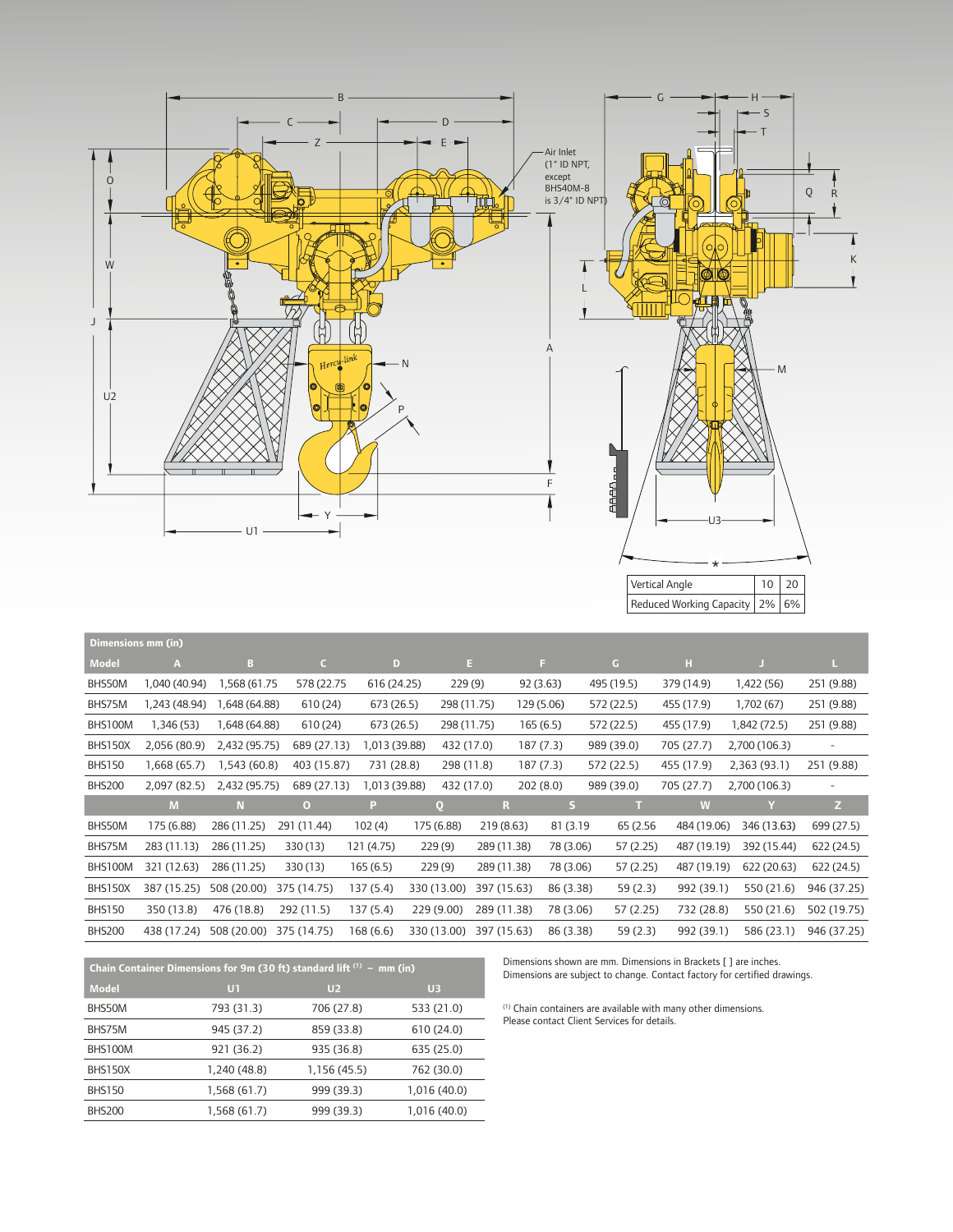

| Dimensions mm (in) |               |               |             |               |              |             |            |           |            |             |               |                   |
|--------------------|---------------|---------------|-------------|---------------|--------------|-------------|------------|-----------|------------|-------------|---------------|-------------------|
| <b>Model</b>       | A             | в             | $\epsilon$  | D             |              | Ε.          | F.         |           | G          | н           | F.            | L.                |
| BHS50M             | 1,040 (40.94) | 1,568 (61.75  | 578 (22.75  | 616 (24.25)   |              | 229(9)      | 92 (3.63)  |           | 495 (19.5) | 379 (14.9)  | 1,422 (56)    | 251 (9.88)        |
| BHS75M             | 1,243 (48.94) | 1,648 (64.88) | 610 (24)    | 673 (26.5)    |              | 298 (11.75) | 129 (5.06) |           | 572 (22.5) | 455 (17.9)  | 1,702 (67)    | 251 (9.88)        |
| BHS100M            | I,346 (53)    | 1,648 (64.88) | 610 (24)    | 673 (26.5)    |              | 298 (11.75) | 165(6.5)   |           | 572 (22.5) | 455 (17.9)  | 1,842 (72.5)  | 251 (9.88)        |
| <b>BHS150X</b>     | 2,056 (80.9)  | 2,432 (95.75) | 689 (27.13) | 1,013 (39.88) |              | 432 (17.0)  | 187 (7.3)  |           | 989 (39.0) | 705 (27.7)  | 2,700 (106.3) | $\qquad \qquad -$ |
| <b>BHS150</b>      | 1,668 (65.7)  | 1,543 (60.8)  | 403 (15.87) | 731 (28.8)    |              | 298 (11.8)  | 187 (7.3)  |           | 572 (22.5) | 455 (17.9)  | 2,363 (93.1)  | 251 (9.88)        |
| <b>BHS200</b>      | 2,097 (82.5)  | 2,432 (95.75) | 689 (27.13) | 1,013 (39.88) |              | 432 (17.0)  | 202(8.0)   |           | 989 (39.0) | 705 (27.7)  | 2,700 (106.3) | $\overline{a}$    |
|                    | M             | N             | $\bf{O}$    | Р             | $\mathbf{Q}$ | R           |            | S         |            | W           | Y             | Z                 |
| BHS50M             | 175 (6.88)    | 286 (11.25)   | 291 (11.44) | 102(4)        | 175 (6.88)   | 219 (8.63)  |            | 81 (3.19) | 65 (2.56)  | 484 (19.06) | 346 (13.63)   | 699 (27.5)        |
| BHS75M             | 283 (11.13)   | 286 (11.25)   | 330 (13)    | 121 (4.75)    | 229 (9)      | 289 (11.38) |            | 78 (3.06) | 57 (2.25)  | 487 (19.19) | 392 (15.44)   | 622 (24.5)        |
| BHS100M            | 321 (12.63)   | 286 (11.25)   | 330 (13)    | 165 (6.5)     | 229(9)       | 289 (11.38) |            | 78 (3.06) | 57 (2.25)  | 487 (19.19) | 622 (20.63)   | 622 (24.5)        |
| BHS150X            | 387 (15.25)   | 508 (20.00)   | 375 (14.75) | 137 (5.4)     | 330 (13.00)  | 397 (15.63) |            | 86 (3.38) | 59(2.3)    | 992 (39.1)  | 550 (21.6)    | 946 (37.25)       |
| <b>BHS150</b>      | 350 (13.8)    | 476 (18.8)    | 292 (11.5)  | 137 (5.4)     | 229 (9.00)   | 289 (11.38) |            | 78 (3.06) | 57 (2.25)  | 732 (28.8)  | 550 (21.6)    | 502 (19.75)       |
| <b>BHS200</b>      | 438 (17.24)   | 508 (20.00)   | 375 (14.75) | 168 (6.6)     | 330 (13.00)  | 397 (15.63) |            | 86 (3.38) | 59 (2.3)   | 992 (39.1)  | 586 (23.1)    | 946 (37.25)       |
|                    |               |               |             |               |              |             |            |           |            |             |               |                   |

| Chain Container Dimensions for 9m (30 ft) standard lift $(1)$ – mm (in) |              |                |                |  |  |  |
|-------------------------------------------------------------------------|--------------|----------------|----------------|--|--|--|
| Model                                                                   | UT           | U <sub>2</sub> | U <sub>3</sub> |  |  |  |
| BHS50M                                                                  | 793 (31.3)   | 706 (27.8)     | 533 (21.0)     |  |  |  |
| BHS75M                                                                  | 945 (37.2)   | 859 (33.8)     | 610 (24.0)     |  |  |  |
| BHS100M                                                                 | 921 (36.2)   | 935 (36.8)     | 635 (25.0)     |  |  |  |
| <b>BHS150X</b>                                                          | 1,240 (48.8) | 1,156 (45.5)   | 762 (30.0)     |  |  |  |
| <b>BHS150</b>                                                           | 1,568 (61.7) | 999 (39.3)     | 1,016 (40.0)   |  |  |  |
| <b>BHS200</b>                                                           | 1,568 (61.7) | 999 (39.3)     | 1,016 (40.0)   |  |  |  |

Dimensions shown are mm. Dimensions in Brackets [ ] are inches. Dimensions are subject to change. Contact factory for certified drawings.

(1) Chain containers are available with many other dimensions. Please contact Client Services for details.